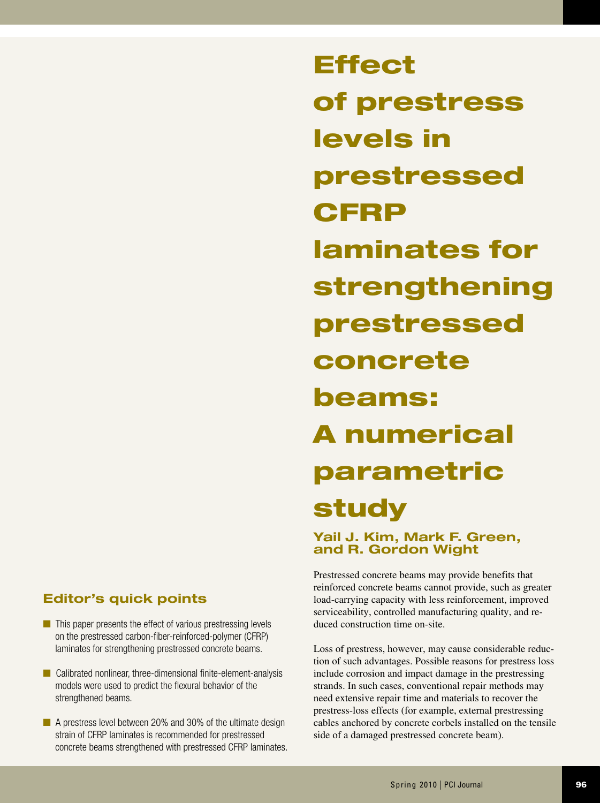# **Editor's quick points**

- $\blacksquare$  This paper presents the effect of various prestressing levels on the prestressed carbon-fiber-reinforced-polymer (CFRP) laminates for strengthening prestressed concrete beams.
- $\blacksquare$  Calibrated nonlinear, three-dimensional finite-element-analysis models were used to predict the flexural behavior of the strengthened beams.
- **n** A prestress level between 20% and 30% of the ultimate design strain of CFRP laminates is recommended for prestressed concrete beams strengthened with prestressed CFRP laminates.

**Effect** of prestress levels in prestressed **CFRP** laminates for strengthening prestressed concrete beams: A numerical parametric study

**Yail J. Kim, Mark F. Green, and R. Gordon Wight**

Prestressed concrete beams may provide benefits that reinforced concrete beams cannot provide, such as greater load-carrying capacity with less reinforcement, improved serviceability, controlled manufacturing quality, and reduced construction time on-site.

Loss of prestress, however, may cause considerable reduction of such advantages. Possible reasons for prestress loss include corrosion and impact damage in the prestressing strands. In such cases, conventional repair methods may need extensive repair time and materials to recover the prestress-loss effects (for example, external prestressing cables anchored by concrete corbels installed on the tensile side of a damaged prestressed concrete beam).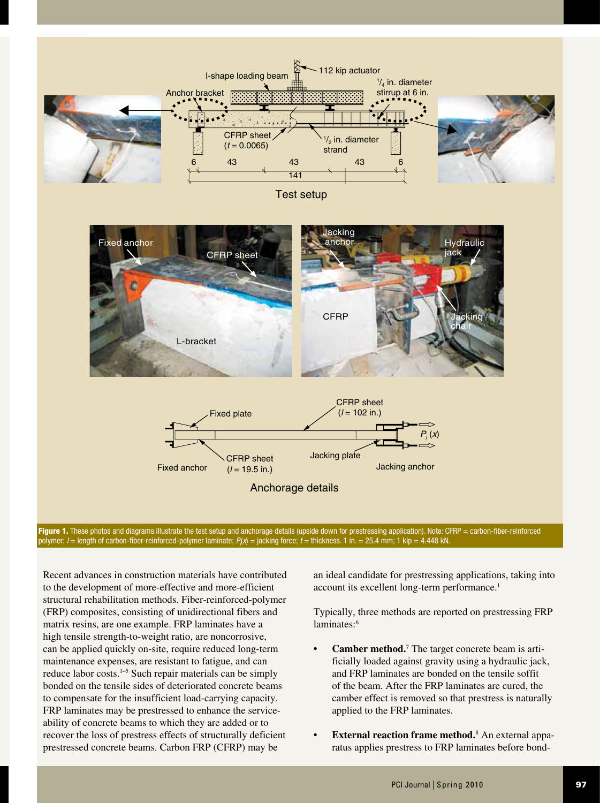

polymer; /= length of carbon-fiber-reinforced-polymer laminate; *P<sub>(</sub>x*) = jacking force; *t* = thickness. 1 in. = 25.4 mm; 1 kip = 4.448 kN.

Recent advances in construction materials have contributed to the development of more-effective and more-efficient structural rehabilitation methods. Fiber-reinforced-polymer (FRP) composites, consisting of unidirectional fibers and matrix resins, are one example. FRP laminates have a high tensile strength-to-weight ratio, are noncorrosive, can be applied quickly on-site, require reduced long-term maintenance expenses, are resistant to fatigue, and can reduce labor costs.1–5 Such repair materials can be simply bonded on the tensile sides of deteriorated concrete beams to compensate for the insufficient load-carrying capacity. FRP laminates may be prestressed to enhance the serviceability of concrete beams to which they are added or to recover the loss of prestress effects of structurally deficient prestressed concrete beams. Carbon FRP (CFRP) may be

an ideal candidate for prestressing applications, taking into account its excellent long-term performance.<sup>1</sup>

Typically, three methods are reported on prestressing FRP laminates:<sup>6</sup>

- **• Camber method.**<sup>7</sup> The target concrete beam is artificially loaded against gravity using a hydraulic jack, and FRP laminates are bonded on the tensile soffit of the beam. After the FRP laminates are cured, the camber effect is removed so that prestress is naturally applied to the FRP laminates.
- **• External reaction frame method.**<sup>8</sup> An external apparatus applies prestress to FRP laminates before bond-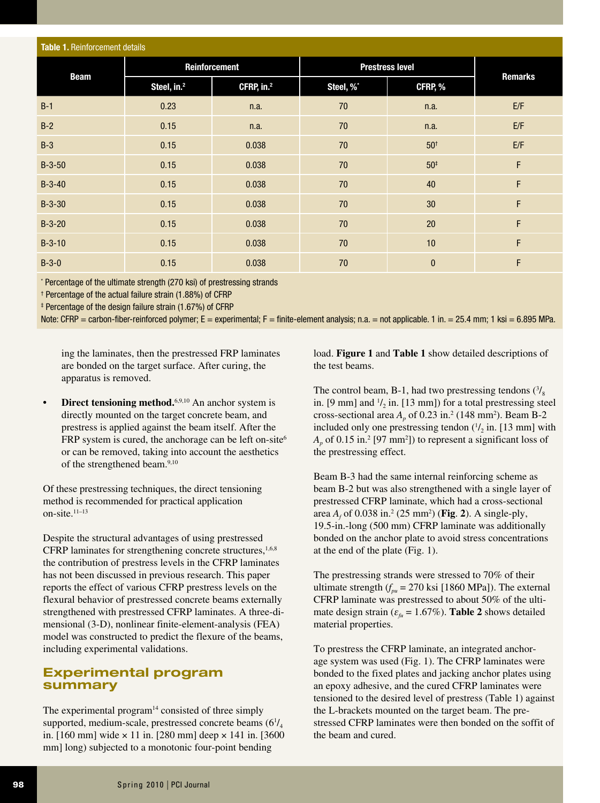| <b>Table 1. Reinforcement details</b> |                         |                        |                        |                 |         |  |  |  |  |  |
|---------------------------------------|-------------------------|------------------------|------------------------|-----------------|---------|--|--|--|--|--|
| <b>Beam</b>                           |                         | Reinforcement          | <b>Prestress level</b> |                 |         |  |  |  |  |  |
|                                       | Steel, in. <sup>2</sup> | CFRP, in. <sup>2</sup> | Steel, %*              | CFRP, %         | Remarks |  |  |  |  |  |
| $B-1$                                 | 0.23                    | n.a.                   | 70                     | n.a.            | E/F     |  |  |  |  |  |
| $B-2$                                 | 0.15                    | n.a.                   | 70                     | n.a.            | E/F     |  |  |  |  |  |
| $B-3$                                 | 0.15                    | 0.038                  | 70                     | 50 <sup>†</sup> | E/F     |  |  |  |  |  |
| $B-3-50$                              | 0.15                    | 0.038                  | 70                     | $50*$           | F       |  |  |  |  |  |
| $B-3-40$                              | 0.15                    | 0.038                  | 70                     | 40              | F       |  |  |  |  |  |
| $B-3-30$                              | 0.15                    | 0.038                  | 70                     | 30              | F       |  |  |  |  |  |
| $B-3-20$                              | 0.15                    | 0.038                  | 70                     | 20              | F       |  |  |  |  |  |
| $B-3-10$                              | 0.15                    | 0.038                  | 70                     | 10              | F       |  |  |  |  |  |
| $B-3-0$                               | 0.15                    | 0.038                  | 70                     | $\bf{0}$        | F       |  |  |  |  |  |

\* Percentage of the ultimate strength (270 ksi) of prestressing strands

† Percentage of the actual failure strain (1.88%) of CFRP

‡ Percentage of the design failure strain (1.67%) of CFRP

Note: CFRP = carbon-fiber-reinforced polymer; E = experimental; F = finite-element analysis; n.a. = not applicable. 1 in. = 25.4 mm; 1 ksi = 6.895 MPa.

ing the laminates, then the prestressed FRP laminates are bonded on the target surface. After curing, the apparatus is removed.

• **Direct tensioning method.**<sup>6,9,10</sup> An anchor system is directly mounted on the target concrete beam, and prestress is applied against the beam itself. After the FRP system is cured, the anchorage can be left on-site<sup>6</sup> or can be removed, taking into account the aesthetics of the strengthened beam.<sup>9,10</sup>

Of these prestressing techniques, the direct tensioning method is recommended for practical application on-site. $11-13$ 

Despite the structural advantages of using prestressed CFRP laminates for strengthening concrete structures,<sup>1,6,8</sup> the contribution of prestress levels in the CFRP laminates has not been discussed in previous research. This paper reports the effect of various CFRP prestress levels on the flexural behavior of prestressed concrete beams externally strengthened with prestressed CFRP laminates. A three-dimensional (3-D), nonlinear finite-element-analysis (FEA) model was constructed to predict the flexure of the beams, including experimental validations.

### **Experimental program summary**

The experimental program<sup>14</sup> consisted of three simply supported, medium-scale, prestressed concrete beams  $(6<sup>1</sup>/<sub>4</sub>$ in. [160 mm] wide  $\times$  11 in. [280 mm] deep  $\times$  141 in. [3600 mm] long) subjected to a monotonic four-point bending

load. **Figure 1** and **Table 1** show detailed descriptions of the test beams.

The control beam, B-1, had two prestressing tendons  $\binom{3}{8}$ in. [9 mm] and  $1/2$  in. [13 mm]) for a total prestressing steel cross-sectional area  $A_p$  of 0.23 in.<sup>2</sup> (148 mm<sup>2</sup>). Beam B-2 included only one prestressing tendon  $\frac{1}{2}$  in. [13 mm] with  $A_p$  of 0.15 in.<sup>2</sup> [97 mm<sup>2</sup>]) to represent a significant loss of the prestressing effect.

Beam B-3 had the same internal reinforcing scheme as beam B-2 but was also strengthened with a single layer of prestressed CFRP laminate, which had a cross-sectional area  $A_f$  of 0.038 in.<sup>2</sup> (25 mm<sup>2</sup>) (**Fig. 2**). A single-ply, 19.5-in.-long (500 mm) CFRP laminate was additionally bonded on the anchor plate to avoid stress concentrations at the end of the plate (Fig. 1).

The prestressing strands were stressed to 70% of their ultimate strength  $(f_{pu} = 270 \text{ ksi} [1860 \text{ MPa}])$ . The external CFRP laminate was prestressed to about 50% of the ultimate design strain ( $\varepsilon_{f\mu}$  = 1.67%). **Table 2** shows detailed material properties.

To prestress the CFRP laminate, an integrated anchorage system was used (Fig. 1). The CFRP laminates were bonded to the fixed plates and jacking anchor plates using an epoxy adhesive, and the cured CFRP laminates were tensioned to the desired level of prestress (Table 1) against the L-brackets mounted on the target beam. The prestressed CFRP laminates were then bonded on the soffit of the beam and cured.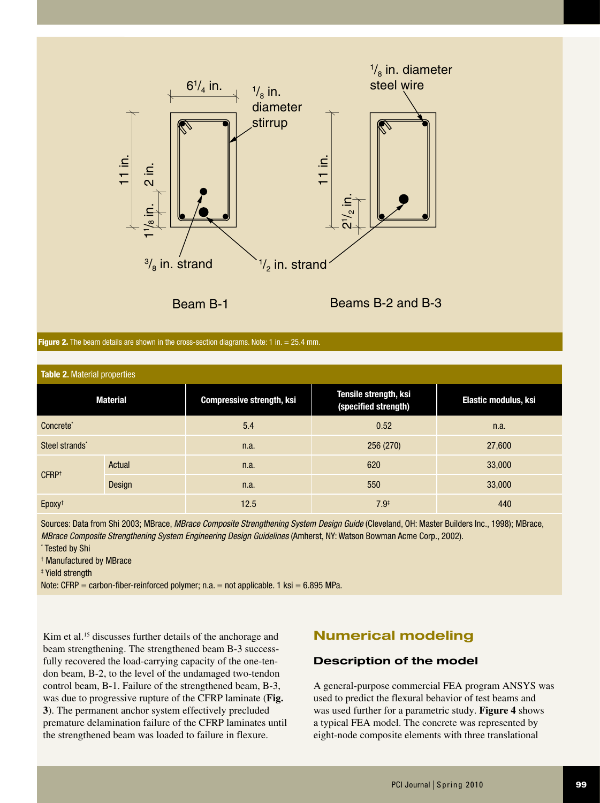

Beam B-1 Beams B-2 and B-3

|  |  |  | <b>Figure 2.</b> The beam details are shown in the cross-section diagrams. Note: 1 in. $= 25.4$ mm. |
|--|--|--|-----------------------------------------------------------------------------------------------------|
|  |  |  |                                                                                                     |
|  |  |  |                                                                                                     |

| <b>Table 2. Material properties</b> |        |                                  |                                               |                      |  |  |  |  |  |
|-------------------------------------|--------|----------------------------------|-----------------------------------------------|----------------------|--|--|--|--|--|
| <b>Material</b>                     |        | <b>Compressive strength, ksi</b> | Tensile strength, ksi<br>(specified strength) | Elastic modulus, ksi |  |  |  |  |  |
| Concrete*                           |        | 5.4                              | 0.52                                          | n.a.                 |  |  |  |  |  |
| Steel strands*                      |        | n.a.                             | 256 (270)                                     | 27,600               |  |  |  |  |  |
|                                     | Actual | n.a.                             | 620                                           | 33,000               |  |  |  |  |  |
| CFRP <sup>+</sup>                   | Design | n.a.                             | 550                                           | 33,000               |  |  |  |  |  |
| Epoxy <sup>t</sup>                  |        | 12.5                             | $7.9*$                                        | 440                  |  |  |  |  |  |

Sources: Data from Shi 2003; MBrace, *MBrace Composite Strengthening System Design Guide* (Cleveland, OH: Master Builders Inc., 1998); MBrace, *MBrace Composite Strengthening System Engineering Design Guidelines* (Amherst, NY: Watson Bowman Acme Corp., 2002).

\* Tested by Shi

† Manufactured by MBrace

‡ Yield strength

Note: CFRP = carbon-fiber-reinforced polymer; n.a. = not applicable. 1 ksi =  $6.895$  MPa.

Kim et al.<sup>15</sup> discusses further details of the anchorage and beam strengthening. The strengthened beam B-3 successfully recovered the load-carrying capacity of the one-tendon beam, B-2, to the level of the undamaged two-tendon control beam, B-1. Failure of the strengthened beam, B-3, was due to progressive rupture of the CFRP laminate (**Fig. 3**). The permanent anchor system effectively precluded premature delamination failure of the CFRP laminates until the strengthened beam was loaded to failure in flexure.

# **Numerical modeling**

### **Description of the model**

A general-purpose commercial FEA program ANSYS was used to predict the flexural behavior of test beams and was used further for a parametric study. **Figure 4** shows a typical FEA model. The concrete was represented by eight-node composite elements with three translational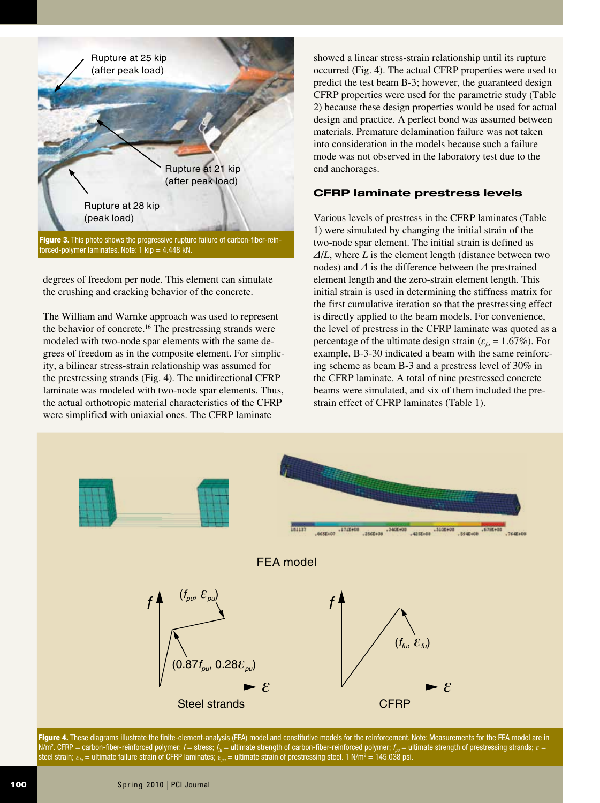

Figure 3. This photo shows the progressive rupture failure of carbon-fiber-reinforced-polymer laminates. Note: 1 kip = 4.448 kN.

degrees of freedom per node. This element can simulate the crushing and cracking behavior of the concrete.

The William and Warnke approach was used to represent the behavior of concrete.<sup>16</sup> The prestressing strands were modeled with two-node spar elements with the same degrees of freedom as in the composite element. For simplicity, a bilinear stress-strain relationship was assumed for the prestressing strands (Fig. 4). The unidirectional CFRP laminate was modeled with two-node spar elements. Thus, the actual orthotropic material characteristics of the CFRP were simplified with uniaxial ones. The CFRP laminate

showed a linear stress-strain relationship until its rupture occurred (Fig. 4). The actual CFRP properties were used to predict the test beam B-3; however, the guaranteed design CFRP properties were used for the parametric study (Table 2) because these design properties would be used for actual design and practice. A perfect bond was assumed between materials. Premature delamination failure was not taken into consideration in the models because such a failure mode was not observed in the laboratory test due to the end anchorages.

### **CFRP laminate prestress levels**

Various levels of prestress in the CFRP laminates (Table 1) were simulated by changing the initial strain of the two-node spar element. The initial strain is defined as *Δ*/*L*, where *L* is the element length (distance between two nodes) and *Δ* is the difference between the prestrained element length and the zero-strain element length. This initial strain is used in determining the stiffness matrix for the first cumulative iteration so that the prestressing effect is directly applied to the beam models. For convenience, the level of prestress in the CFRP laminate was quoted as a percentage of the ultimate design strain ( $\varepsilon_{\text{f}u} = 1.67\%$ ). For example, B-3-30 indicated a beam with the same reinforcing scheme as beam B-3 and a prestress level of 30% in the CFRP laminate. A total of nine prestressed concrete beams were simulated, and six of them included the prestrain effect of CFRP laminates (Table 1).



Figure 4. These diagrams illustrate the finite-element-analysis (FEA) model and constitutive models for the reinforcement. Note: Measurements for the FEA model are in N/m2 . CFRP = carbon-fiber-reinforced polymer; *f* = stress; *ffu* = ultimate strength of carbon-fiber-reinforced polymer; *fpu* = ultimate strength of prestressing strands; *ε* = steel strain;  $\varepsilon_{\hbar}$  = ultimate failure strain of CFRP laminates;  $\varepsilon_{\mu\nu}$  = ultimate strain of prestressing steel. 1 N/m<sup>2</sup> = 145.038 psi.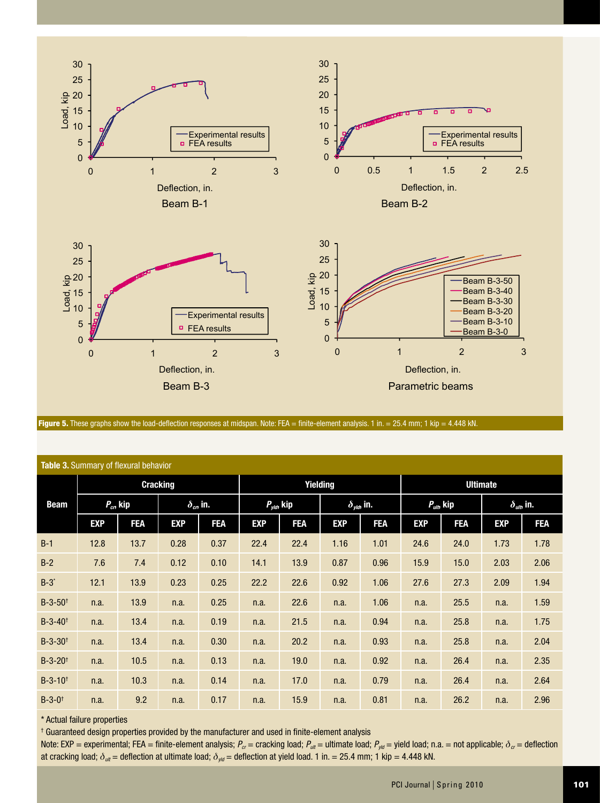

Figure 5. These graphs show the load-deflection responses at midspan. Note: FEA = finite-element analysis. 1 in. = 25.4 mm; 1 kip = 4.448 kN.

| <b>Table 3.</b> Summary of flexural behavior |                 |            |                   |                 |                        |            |                        |                 |                    |            |                           |            |
|----------------------------------------------|-----------------|------------|-------------------|-----------------|------------------------|------------|------------------------|-----------------|--------------------|------------|---------------------------|------------|
|                                              | <b>Cracking</b> |            |                   | <b>Yielding</b> |                        |            |                        | <b>Ultimate</b> |                    |            |                           |            |
| <b>Beam</b>                                  | $P_{cr}$ , kip  |            | $\delta_{cr}$ in. |                 | $P_{\text{vld}}$ , kip |            | $\delta_{\nu/d}$ , in. |                 | $P_{\mu\nu}$ , kip |            | $\delta_{\text{uib}}$ in. |            |
|                                              | <b>EXP</b>      | <b>FEA</b> | <b>EXP</b>        | <b>FEA</b>      | <b>EXP</b>             | <b>FEA</b> | <b>EXP</b>             | <b>FEA</b>      | <b>EXP</b>         | <b>FEA</b> | <b>EXP</b>                | <b>FEA</b> |
| $B-1$                                        | 12.8            | 13.7       | 0.28              | 0.37            | 22.4                   | 22.4       | 1.16                   | 1.01            | 24.6               | 24.0       | 1.73                      | 1.78       |
| $B-2$                                        | 7.6             | 7.4        | 0.12              | 0.10            | 14.1                   | 13.9       | 0.87                   | 0.96            | 15.9               | 15.0       | 2.03                      | 2.06       |
| $B-3$ *                                      | 12.1            | 13.9       | 0.23              | 0.25            | 22.2                   | 22.6       | 0.92                   | 1.06            | 27.6               | 27.3       | 2.09                      | 1.94       |
| $B-3-50$ <sup>t</sup>                        | n.a.            | 13.9       | n.a.              | 0.25            | n.a.                   | 22.6       | n.a.                   | 1.06            | n.a.               | 25.5       | n.a.                      | 1.59       |
| $B - 3 - 40$ <sup>t</sup>                    | n.a.            | 13.4       | n.a.              | 0.19            | n.a.                   | 21.5       | n.a.                   | 0.94            | n.a.               | 25.8       | n.a.                      | 1.75       |
| $B-3-30$ <sup>t</sup>                        | n.a.            | 13.4       | n.a.              | 0.30            | n.a.                   | 20.2       | n.a.                   | 0.93            | n.a.               | 25.8       | n.a.                      | 2.04       |
| $B - 3 - 20$ <sup>t</sup>                    | n.a.            | 10.5       | n.a.              | 0.13            | n.a.                   | 19.0       | n.a.                   | 0.92            | n.a.               | 26.4       | n.a.                      | 2.35       |
| $B-3-10^{+}$                                 | n.a.            | 10.3       | n.a.              | 0.14            | n.a.                   | 17.0       | n.a.                   | 0.79            | n.a.               | 26.4       | n.a.                      | 2.64       |
| $B - 3 - 0$ <sup>t</sup>                     | n.a.            | 9.2        | n.a.              | 0.17            | n.a.                   | 15.9       | n.a.                   | 0.81            | n.a.               | 26.2       | n.a.                      | 2.96       |

#### **Table 3.** Summary of flexural behavior

\* Actual failure properties

† Guaranteed design properties provided by the manufacturer and used in finite-element analysis

Note: EXP = experimental; FEA = finite-element analysis;  $P_{cr}$  = cracking load;  $P_{ult}$  = ultimate load;  $P_{yld}$  = yield load; n.a. = not applicable;  $\delta_{cr}$  = deflection at cracking load;  $\delta_{uu}$  = deflection at ultimate load;  $\delta_{vd}$  = deflection at yield load. 1 in. = 25.4 mm; 1 kip = 4.448 kN.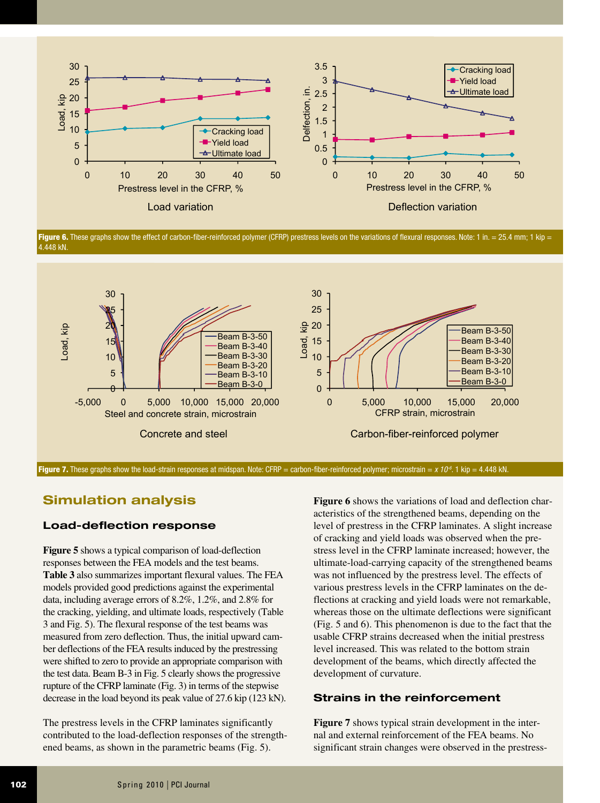

Figure 6. These graphs show the effect of carbon-fiber-reinforced polymer (CFRP) prestress levels on the variations of flexural responses. Note: 1 in. = 25.4 mm; 1 kip = 4.448 kN.



Figure 7. These graphs show the load-strain responses at midspan. Note: CFRP = carbon-fiber-reinforced polymer; microstrain = *x 10<sup>-6</sup>*. 1 kip = 4.448 kN.

## **Simulation analysis**

### **Load-deflection response**

**Figure 5** shows a typical comparison of load-deflection responses between the FEA models and the test beams. **Table 3** also summarizes important flexural values. The FEA models provided good predictions against the experimental data, including average errors of 8.2%, 1.2%, and 2.8% for the cracking, yielding, and ultimate loads, respectively (Table 3 and Fig. 5). The flexural response of the test beams was measured from zero deflection. Thus, the initial upward camber deflections of the FEA results induced by the prestressing were shifted to zero to provide an appropriate comparison with the test data. Beam B-3 in Fig. 5 clearly shows the progressive rupture of the CFRP laminate (Fig. 3) in terms of the stepwise decrease in the load beyond its peak value of 27.6 kip (123 kN).

The prestress levels in the CFRP laminates significantly contributed to the load-deflection responses of the strengthened beams, as shown in the parametric beams (Fig. 5).

**Figure 6** shows the variations of load and deflection characteristics of the strengthened beams, depending on the level of prestress in the CFRP laminates. A slight increase of cracking and yield loads was observed when the prestress level in the CFRP laminate increased; however, the ultimate-load-carrying capacity of the strengthened beams was not influenced by the prestress level. The effects of various prestress levels in the CFRP laminates on the deflections at cracking and yield loads were not remarkable, whereas those on the ultimate deflections were significant (Fig. 5 and 6). This phenomenon is due to the fact that the usable CFRP strains decreased when the initial prestress level increased. This was related to the bottom strain development of the beams, which directly affected the development of curvature.

#### **Strains in the reinforcement**

**Figure 7** shows typical strain development in the internal and external reinforcement of the FEA beams. No significant strain changes were observed in the prestress-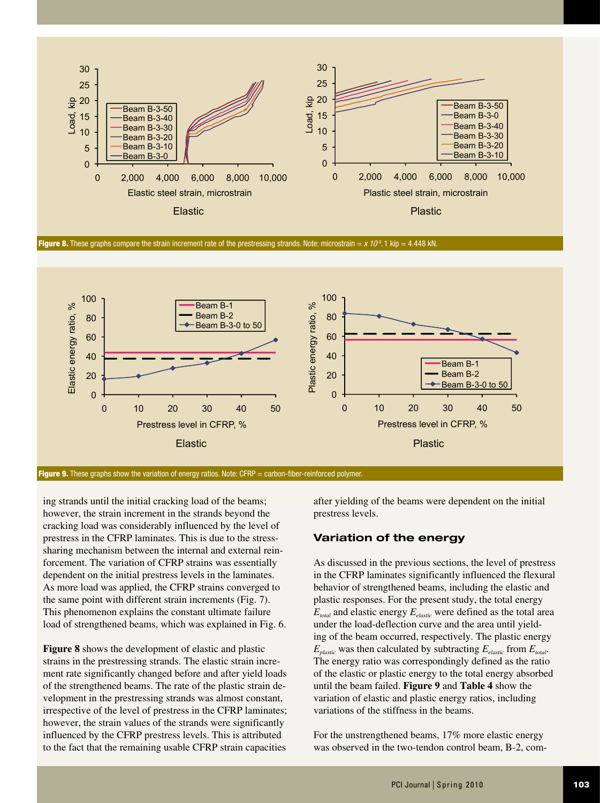

**Figure 8.** These graphs compare the strain increment rate of the prestressing strands. Note: microstrain =  $x 10<sup>6</sup>$ . 1 kip = 4.448 kN.



Figure 9. These graphs show the variation of energy ratios. Note: CFRP = carbon-fiber-reinforced polymer.

ing strands until the initial cracking load of the beams; however, the strain increment in the strands beyond the cracking load was considerably influenced by the level of prestress in the CFRP laminates. This is due to the stresssharing mechanism between the internal and external reinforcement. The variation of CFRP strains was essentially dependent on the initial prestress levels in the laminates. As more load was applied, the CFRP strains converged to the same point with different strain increments (Fig. 7). This phenomenon explains the constant ultimate failure load of strengthened beams, which was explained in Fig. 6.

**Figure 8** shows the development of elastic and plastic strains in the prestressing strands. The elastic strain increment rate significantly changed before and after yield loads of the strengthened beams. The rate of the plastic strain development in the prestressing strands was almost constant, irrespective of the level of prestress in the CFRP laminates; however, the strain values of the strands were significantly influenced by the CFRP prestress levels. This is attributed to the fact that the remaining usable CFRP strain capacities

after yielding of the beams were dependent on the initial prestress levels.

#### **Variation of the energy**

As discussed in the previous sections, the level of prestress in the CFRP laminates significantly influenced the flexural behavior of strengthened beams, including the elastic and plastic responses. For the present study, the total energy  $E_{total}$  and elastic energy  $E_{elastic}$  were defined as the total area under the load-deflection curve and the area until yielding of the beam occurred, respectively. The plastic energy  $E_{\text{plastic}}$  was then calculated by subtracting  $E_{\text{elastic}}$  from  $E_{\text{total}}$ . The energy ratio was correspondingly defined as the ratio of the elastic or plastic energy to the total energy absorbed until the beam failed. **Figure 9** and **Table 4** show the variation of elastic and plastic energy ratios, including variations of the stiffness in the beams.

For the unstrengthened beams, 17% more elastic energy was observed in the two-tendon control beam, B-2, com-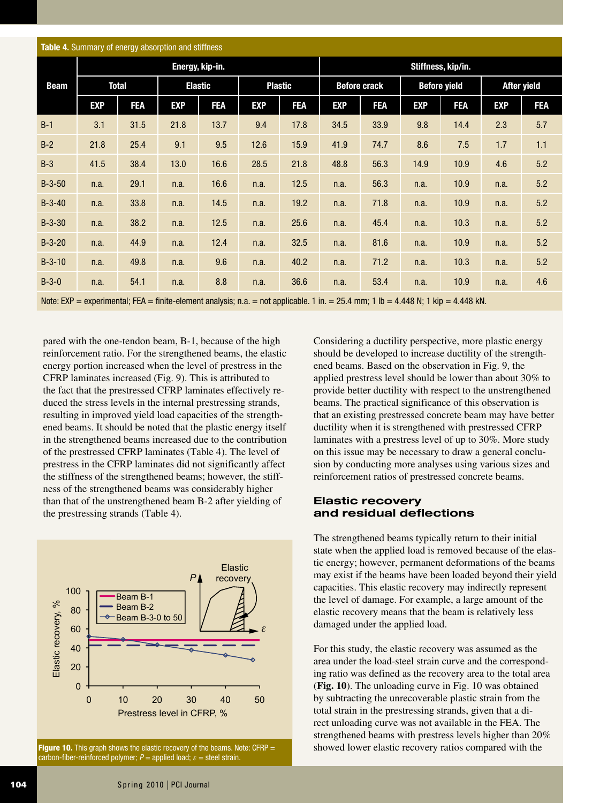| <b>Table 4.</b> Summary of energy absorption and stiffness |                 |            |                |            |                |            |                     |                    |                     |            |                    |            |  |
|------------------------------------------------------------|-----------------|------------|----------------|------------|----------------|------------|---------------------|--------------------|---------------------|------------|--------------------|------------|--|
|                                                            | Energy, kip-in. |            |                |            |                |            |                     | Stiffness, kip/in. |                     |            |                    |            |  |
| <b>Beam</b>                                                | <b>Total</b>    |            | <b>Elastic</b> |            | <b>Plastic</b> |            | <b>Before crack</b> |                    | <b>Before yield</b> |            | <b>After yield</b> |            |  |
|                                                            | <b>EXP</b>      | <b>FEA</b> | <b>EXP</b>     | <b>FEA</b> | <b>EXP</b>     | <b>FEA</b> | <b>EXP</b>          | <b>FEA</b>         | <b>EXP</b>          | <b>FEA</b> | <b>EXP</b>         | <b>FEA</b> |  |
| $B-1$                                                      | 3.1             | 31.5       | 21.8           | 13.7       | 9.4            | 17.8       | 34.5                | 33.9               | 9.8                 | 14.4       | 2.3                | 5.7        |  |
| $B-2$                                                      | 21.8            | 25.4       | 9.1            | 9.5        | 12.6           | 15.9       | 41.9                | 74.7               | 8.6                 | 7.5        | 1.7                | 1.1        |  |
| $B-3$                                                      | 41.5            | 38.4       | 13.0           | 16.6       | 28.5           | 21.8       | 48.8                | 56.3               | 14.9                | 10.9       | 4.6                | 5.2        |  |
| $B-3-50$                                                   | n.a.            | 29.1       | n.a.           | 16.6       | n.a.           | 12.5       | n.a.                | 56.3               | n.a.                | 10.9       | n.a.               | 5.2        |  |
| $B-3-40$                                                   | n.a.            | 33.8       | n.a.           | 14.5       | n.a.           | 19.2       | n.a.                | 71.8               | n.a.                | 10.9       | n.a.               | 5.2        |  |
| $B-3-30$                                                   | n.a.            | 38.2       | n.a.           | 12.5       | n.a.           | 25.6       | n.a.                | 45.4               | n.a.                | 10.3       | n.a.               | 5.2        |  |
| $B-3-20$                                                   | n.a.            | 44.9       | n.a.           | 12.4       | n.a.           | 32.5       | n.a.                | 81.6               | n.a.                | 10.9       | n.a.               | 5.2        |  |
| $B-3-10$                                                   | n.a.            | 49.8       | n.a.           | 9.6        | n.a.           | 40.2       | n.a.                | 71.2               | n.a.                | 10.3       | n.a.               | 5.2        |  |
| $B-3-0$                                                    | n.a.            | 54.1       | n.a.           | 8.8        | n.a.           | 36.6       | n.a.                | 53.4               | n.a.                | 10.9       | n.a.               | 4.6        |  |

Note:  $EXP = experimental$ ;  $FEA = finite-element analysis$ ; n.a. = not applicable. 1 in. = 25.4 mm; 1 lb = 4.448 N; 1 kip = 4.448 kN.

pared with the one-tendon beam, B-1, because of the high reinforcement ratio. For the strengthened beams, the elastic energy portion increased when the level of prestress in the CFRP laminates increased (Fig. 9). This is attributed to the fact that the prestressed CFRP laminates effectively reduced the stress levels in the internal prestressing strands, resulting in improved yield load capacities of the strengthened beams. It should be noted that the plastic energy itself in the strengthened beams increased due to the contribution of the prestressed CFRP laminates (Table 4). The level of prestress in the CFRP laminates did not significantly affect the stiffness of the strengthened beams; however, the stiffness of the strengthened beams was considerably higher than that of the unstrengthened beam B-2 after yielding of the prestressing strands (Table 4).



Figure 10. This graph shows the elastic recovery of the beams. Note: CFRP  $=$ carbon-fiber-reinforced polymer;  $P =$  applied load;  $\varepsilon =$  steel strain.

Considering a ductility perspective, more plastic energy should be developed to increase ductility of the strengthened beams. Based on the observation in Fig. 9, the applied prestress level should be lower than about 30% to provide better ductility with respect to the unstrengthened beams. The practical significance of this observation is that an existing prestressed concrete beam may have better ductility when it is strengthened with prestressed CFRP laminates with a prestress level of up to 30%. More study on this issue may be necessary to draw a general conclusion by conducting more analyses using various sizes and reinforcement ratios of prestressed concrete beams.

#### **Elastic recovery and residual deflections**

The strengthened beams typically return to their initial state when the applied load is removed because of the elastic energy; however, permanent deformations of the beams may exist if the beams have been loaded beyond their yield capacities. This elastic recovery may indirectly represent the level of damage. For example, a large amount of the elastic recovery means that the beam is relatively less damaged under the applied load.

For this study, the elastic recovery was assumed as the area under the load-steel strain curve and the corresponding ratio was defined as the recovery area to the total area (**Fig. 10**). The unloading curve in Fig. 10 was obtained by subtracting the unrecoverable plastic strain from the total strain in the prestressing strands, given that a direct unloading curve was not available in the FEA. The strengthened beams with prestress levels higher than 20% showed lower elastic recovery ratios compared with the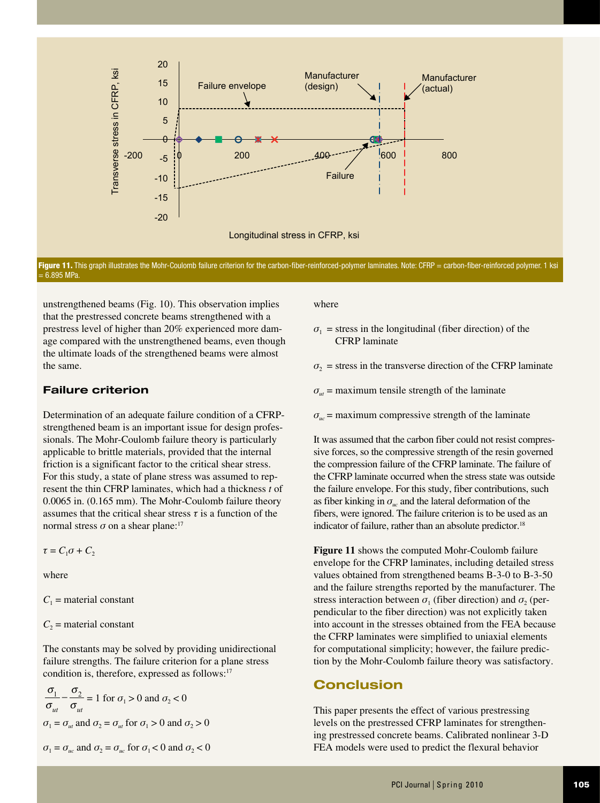

Figure 11. This graph illustrates the Mohr-Coulomb failure criterion for the carbon-fiber-reinforced-polymer laminates. Note: CFRP = carbon-fiber-reinforced polymer. 1 ksi  $= 6.895$  MPa.

unstrengthened beams (Fig. 10). This observation implies that the prestressed concrete beams strengthened with a prestress level of higher than 20% experienced more damage compared with the unstrengthened beams, even though the ultimate loads of the strengthened beams were almost the same.

### **Failure criterion**

Determination of an adequate failure condition of a CFRPstrengthened beam is an important issue for design professionals. The Mohr-Coulomb failure theory is particularly applicable to brittle materials, provided that the internal friction is a significant factor to the critical shear stress. For this study, a state of plane stress was assumed to represent the thin CFRP laminates, which had a thickness *t* of 0.0065 in. (0.165 mm). The Mohr-Coulomb failure theory assumes that the critical shear stress  $\tau$  is a function of the normal stress  $\sigma$  on a shear plane:<sup>17</sup>

 $\tau = C_1 \sigma + C_2$ 

where

 $C_1$  = material constant

 $C_2$  = material constant

The constants may be solved by providing unidirectional failure strengths. The failure criterion for a plane stress condition is, therefore, expressed as follows:<sup>17</sup>

$$
\frac{\sigma_1}{\sigma_{ut}} - \frac{\sigma_2}{\sigma_{ut}} = 1 \text{ for } \sigma_1 > 0 \text{ and } \sigma_2 < 0
$$
  

$$
\sigma_1 = \sigma_{ut} \text{ and } \sigma_2 = \sigma_{ut} \text{ for } \sigma_1 > 0 \text{ and } \sigma_2 > 0
$$

$$
\sigma_1 = \sigma_{uc}
$$
 and  $\sigma_2 = \sigma_{uc}$  for  $\sigma_1 < 0$  and  $\sigma_2 < 0$ 

where

- $\sigma_1$  = stress in the longitudinal (fiber direction) of the CFRP laminate
- $\sigma_2$  = stress in the transverse direction of the CFRP laminate
- $\sigma_{ut}$  = maximum tensile strength of the laminate
- $\sigma_{uc}$  = maximum compressive strength of the laminate

It was assumed that the carbon fiber could not resist compressive forces, so the compressive strength of the resin governed the compression failure of the CFRP laminate. The failure of the CFRP laminate occurred when the stress state was outside the failure envelope. For this study, fiber contributions, such as fiber kinking in  $\sigma_w$  and the lateral deformation of the fibers, were ignored. The failure criterion is to be used as an indicator of failure, rather than an absolute predictor.<sup>18</sup>

**Figure 11** shows the computed Mohr-Coulomb failure envelope for the CFRP laminates, including detailed stress values obtained from strengthened beams B-3-0 to B-3-50 and the failure strengths reported by the manufacturer. The stress interaction between  $\sigma_1$  (fiber direction) and  $\sigma_2$  (perpendicular to the fiber direction) was not explicitly taken into account in the stresses obtained from the FEA because the CFRP laminates were simplified to uniaxial elements for computational simplicity; however, the failure prediction by the Mohr-Coulomb failure theory was satisfactory.

# **Conclusion**

This paper presents the effect of various prestressing levels on the prestressed CFRP laminates for strengthening prestressed concrete beams. Calibrated nonlinear 3-D FEA models were used to predict the flexural behavior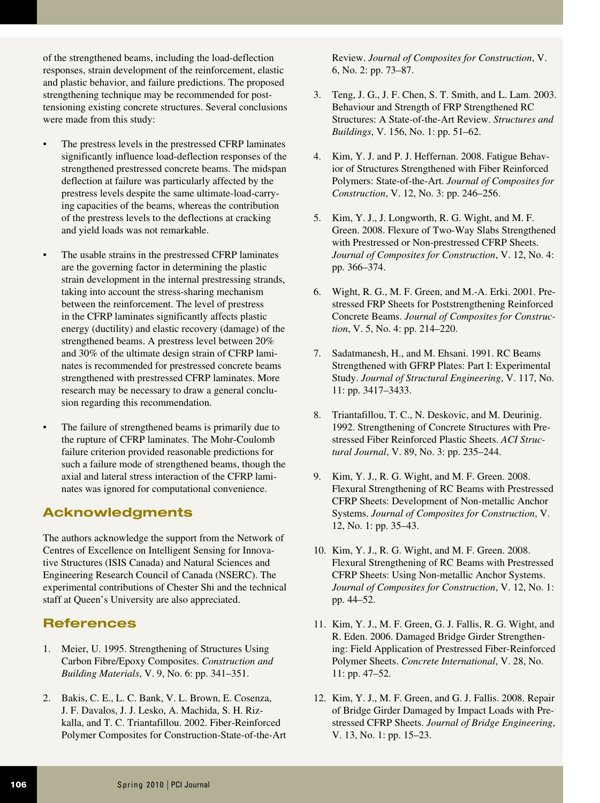of the strengthened beams, including the load-deflection responses, strain development of the reinforcement, elastic and plastic behavior, and failure predictions. The proposed strengthening technique may be recommended for posttensioning existing concrete structures. Several conclusions were made from this study:

- The prestress levels in the prestressed CFRP laminates significantly influence load-deflection responses of the strengthened prestressed concrete beams. The midspan deflection at failure was particularly affected by the prestress levels despite the same ultimate-load-carrying capacities of the beams, whereas the contribution of the prestress levels to the deflections at cracking and yield loads was not remarkable.
- The usable strains in the prestressed CFRP laminates are the governing factor in determining the plastic strain development in the internal prestressing strands, taking into account the stress-sharing mechanism between the reinforcement. The level of prestress in the CFRP laminates significantly affects plastic energy (ductility) and elastic recovery (damage) of the strengthened beams. A prestress level between 20% and 30% of the ultimate design strain of CFRP laminates is recommended for prestressed concrete beams strengthened with prestressed CFRP laminates. More research may be necessary to draw a general conclusion regarding this recommendation.
- The failure of strengthened beams is primarily due to the rupture of CFRP laminates. The Mohr-Coulomb failure criterion provided reasonable predictions for such a failure mode of strengthened beams, though the axial and lateral stress interaction of the CFRP laminates was ignored for computational convenience.

# **Acknowledgments**

The authors acknowledge the support from the Network of Centres of Excellence on Intelligent Sensing for Innovative Structures (ISIS Canada) and Natural Sciences and Engineering Research Council of Canada (NSERC). The experimental contributions of Chester Shi and the technical staff at Queen's University are also appreciated.

# **References**

- 1. Meier, U. 1995. Strengthening of Structures Using Carbon Fibre/Epoxy Composites. *Construction and Building Materials*, V. 9, No. 6: pp. 341–351.
- 2. Bakis, C. E., L. C. Bank, V. L. Brown, E. Cosenza, J. F. Davalos, J. J. Lesko, A. Machida, S. H. Rizkalla, and T. C. Triantafillou. 2002. Fiber-Reinforced Polymer Composites for Construction-State-of-the-Art

Review. *Journal of Composites for Construction*, V. 6, No. 2: pp. 73–87.

- 3. Teng, J. G., J. F. Chen, S. T. Smith, and L. Lam. 2003. Behaviour and Strength of FRP Strengthened RC Structures: A State-of-the-Art Review. *Structures and Buildings*, V. 156, No. 1: pp. 51–62.
- 4. Kim, Y. J. and P. J. Heffernan. 2008. Fatigue Behavior of Structures Strengthened with Fiber Reinforced Polymers: State-of-the-Art. *Journal of Composites for Construction*, V. 12, No. 3: pp. 246–256.
- 5. Kim, Y. J., J. Longworth, R. G. Wight, and M. F. Green. 2008. Flexure of Two-Way Slabs Strengthened with Prestressed or Non-prestressed CFRP Sheets. *Journal of Composites for Construction*, V. 12, No. 4: pp. 366–374.
- 6. Wight, R. G., M. F. Green, and M.-A. Erki. 2001. Prestressed FRP Sheets for Poststrengthening Reinforced Concrete Beams. *Journal of Composites for Construction*, V. 5, No. 4: pp. 214–220.
- 7. Sadatmanesh, H., and M. Ehsani. 1991. RC Beams Strengthened with GFRP Plates: Part I: Experimental Study. *Journal of Structural Engineering*, V. 117, No. 11: pp. 3417–3433.
- 8. Triantafillou, T. C., N. Deskovic, and M. Deurinig. 1992. Strengthening of Concrete Structures with Prestressed Fiber Reinforced Plastic Sheets. *ACI Structural Journal*, V. 89, No. 3: pp. 235–244.
- 9. Kim, Y. J., R. G. Wight, and M. F. Green. 2008. Flexural Strengthening of RC Beams with Prestressed CFRP Sheets: Development of Non-metallic Anchor Systems. *Journal of Composites for Construction*, V. 12, No. 1: pp. 35–43.
- 10. Kim, Y. J., R. G. Wight, and M. F. Green. 2008. Flexural Strengthening of RC Beams with Prestressed CFRP Sheets: Using Non-metallic Anchor Systems. *Journal of Composites for Construction*, V. 12, No. 1: pp. 44–52.
- 11. Kim, Y. J., M. F. Green, G. J. Fallis, R. G. Wight, and R. Eden. 2006. Damaged Bridge Girder Strengthening: Field Application of Prestressed Fiber-Reinforced Polymer Sheets. *Concrete International*, V. 28, No. 11: pp. 47–52.
- 12. Kim, Y. J., M. F. Green, and G. J. Fallis. 2008. Repair of Bridge Girder Damaged by Impact Loads with Prestressed CFRP Sheets. *Journal of Bridge Engineering*, V. 13, No. 1: pp. 15–23.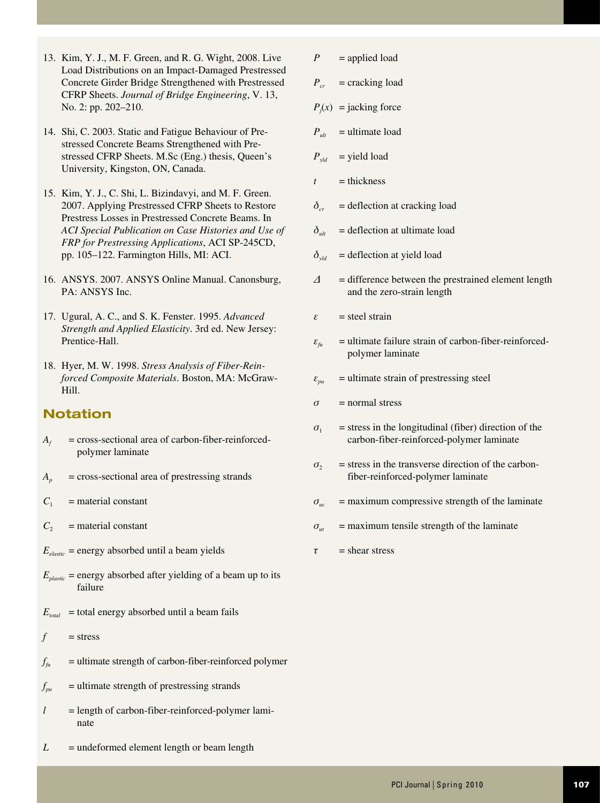- 13. Kim, Y. J., M. F. Green, and R. G. Wight, 2008. Live Load Distributions on an Impact-Damaged Prestressed Concrete Girder Bridge Strengthened with Prestressed CFRP Sheets. *Journal of Bridge Engineering*, V. 13, No. 2: pp. 202–210.
- 14. Shi, C. 2003. Static and Fatigue Behaviour of Prestressed Concrete Beams Strengthened with Prestressed CFRP Sheets. M.Sc (Eng.) thesis, Queen's University, Kingston, ON, Canada.
- 15. Kim, Y. J., C. Shi, L. Bizindavyi, and M. F. Green. 2007. Applying Prestressed CFRP Sheets to Restore Prestress Losses in Prestressed Concrete Beams. In *ACI Special Publication on Case Histories and Use of FRP for Prestressing Applications*, ACI SP-245CD, pp. 105–122. Farmington Hills, MI: ACI.
- 16. ANSYS. 2007. ANSYS Online Manual. Canonsburg, PA: ANSYS Inc.
- 17. Ugural, A. C., and S. K. Fenster. 1995. *Advanced Strength and Applied Elasticity*. 3rd ed. New Jersey: Prentice-Hall.
- 18. Hyer, M. W. 1998. *Stress Analysis of Fiber-Reinforced Composite Materials*. Boston, MA: McGraw-Hill.

# **Notation**

- $A_f$  = cross-sectional area of carbon-fiber-reinforcedpolymer laminate
- $A_p$  = cross-sectional area of prestressing strands
- $C_1$  = material constant
- $C_2$  = material constant
- $E_{elastic}$  = energy absorbed until a beam yields
- $E_{\text{plastic}}$  = energy absorbed after yielding of a beam up to its failure
- $E_{total}$  = total energy absorbed until a beam fails
- $f = stress$
- $f_{\hat{h}u}$  = ultimate strength of carbon-fiber-reinforced polymer
- $f_{pu}$  = ultimate strength of prestressing strands
- $l =$  length of carbon-fiber-reinforced-polymer laminate
- $L =$  undeformed element length or beam length
- $P =$ applied load
- $P_{cr}$  = cracking load
- $P_j(x)$  = jacking force
- $P_{ult}$  = ultimate load
- $P_{\text{vld}}$  = yield load
- $t =$ thickness
- $\delta_{cr}$  = deflection at cracking load
- $\delta_{u}$  = deflection at ultimate load
- $\delta_{yld}$  = deflection at yield load
- *Δ* = difference between the prestrained element length and the zero-strain length
- *ε* = steel strain
- $\varepsilon_{\hat{t}u}$  = ultimate failure strain of carbon-fiber-reinforcedpolymer laminate
- $\varepsilon_{pu}$  = ultimate strain of prestressing steel
- $\sigma$  = normal stress
- $\sigma_1$  = stress in the longitudinal (fiber) direction of the carbon-fiber-reinforced-polymer laminate
- $\sigma_2$  = stress in the transverse direction of the carbonfiber-reinforced-polymer laminate
- $\sigma_{uc}$  = maximum compressive strength of the laminate
- $\sigma_{tt}$  = maximum tensile strength of the laminate
- $\tau$  = shear stress